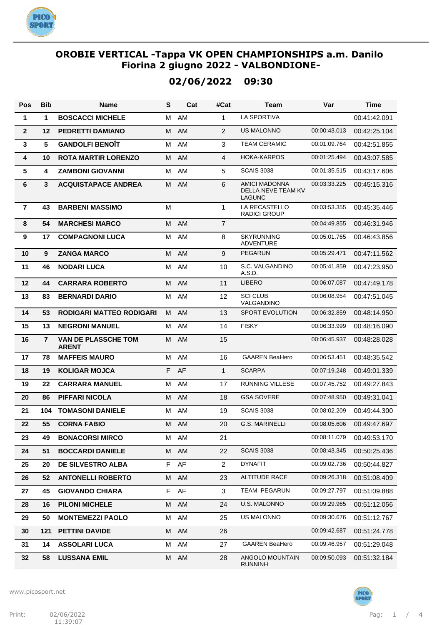

# **02/06/2022 09:30**

| Pos            | <b>Bib</b>     | Name                                       | S  | Cat       | #Cat           | <b>Team</b>                                                 | Var          | <b>Time</b>  |
|----------------|----------------|--------------------------------------------|----|-----------|----------------|-------------------------------------------------------------|--------------|--------------|
| 1              | 1              | <b>BOSCACCI MICHELE</b>                    | М  | AM        | $\mathbf{1}$   | <b>LA SPORTIVA</b>                                          |              | 00:41:42.091 |
| $\mathbf{2}$   | 12             | <b>PEDRETTI DAMIANO</b>                    | M  | AM        | $\overline{2}$ | <b>US MALONNO</b>                                           | 00:00:43.013 | 00:42:25.104 |
| $\mathbf{3}$   | 5              | <b>GANDOLFI BENOÎT</b>                     | М  | AM        | 3              | <b>TEAM CERAMIC</b>                                         | 00:01:09.764 | 00:42:51.855 |
| 4              | 10             | <b>ROTA MARTIR LORENZO</b>                 | M  | AM        | $\overline{4}$ | <b>HOKA-KARPOS</b>                                          | 00:01:25.494 | 00:43:07.585 |
| 5              | 4              | <b>ZAMBONI GIOVANNI</b>                    | м  | AM        | 5              | <b>SCAIS 3038</b>                                           | 00:01:35.515 | 00:43:17.606 |
| 6              | 3              | <b>ACQUISTAPACE ANDREA</b>                 | M  | AM        | 6              | <b>AMICI MADONNA</b><br>DELLA NEVE TEAM KV<br><b>LAGUNC</b> | 00:03:33.225 | 00:45:15.316 |
| $\overline{7}$ | 43             | <b>BARBENI MASSIMO</b>                     | M  |           | 1              | LA RECASTELLO<br><b>RADICI GROUP</b>                        | 00:03:53.355 | 00:45:35.446 |
| 8              | 54             | <b>MARCHESI MARCO</b>                      | M  | <b>AM</b> | $\overline{7}$ |                                                             | 00:04:49.855 | 00:46:31.946 |
| 9              | 17             | <b>COMPAGNONI LUCA</b>                     | м  | AM        | 8              | <b>SKYRUNNING</b><br><b>ADVENTURE</b>                       | 00:05:01.765 | 00:46:43.856 |
| 10             | 9              | <b>ZANGA MARCO</b>                         | M  | AM        | 9              | <b>PEGARUN</b>                                              | 00:05:29.471 | 00:47:11.562 |
| 11             | 46             | <b>NODARI LUCA</b>                         | М  | AM        | 10             | S.C. VALGANDINO<br>A.S.D.                                   | 00:05:41.859 | 00:47:23.950 |
| 12             | 44             | <b>CARRARA ROBERTO</b>                     | M  | AM        | 11             | <b>LIBERO</b>                                               | 00:06:07.087 | 00:47:49.178 |
| 13             | 83             | <b>BERNARDI DARIO</b>                      | м  | AM        | 12             | <b>SCI CLUB</b><br>VALGANDINO                               | 00:06:08.954 | 00:47:51.045 |
| 14             | 53             | <b>RODIGARI MATTEO RODIGARI</b>            | M  | <b>AM</b> | 13             | SPORT EVOLUTION                                             | 00:06:32.859 | 00:48:14.950 |
| 15             | 13             | <b>NEGRONI MANUEL</b>                      | M  | AM        | 14             | <b>FISKY</b>                                                | 00:06:33.999 | 00:48:16.090 |
| 16             | $\overline{7}$ | <b>VAN DE PLASSCHE TOM</b><br><b>ARENT</b> | м  | <b>AM</b> | 15             |                                                             | 00:06:45.937 | 00:48:28.028 |
| 17             | 78             | <b>MAFFEIS MAURO</b>                       | М  | AM        | 16             | <b>GAAREN BeaHero</b>                                       | 00:06:53.451 | 00:48:35.542 |
| 18             | 19             | <b>KOLIGAR MOJCA</b>                       | F. | AF        | $\mathbf{1}$   | <b>SCARPA</b>                                               | 00:07:19.248 | 00:49:01.339 |
| 19             | 22             | <b>CARRARA MANUEL</b>                      | м  | AM        | 17             | <b>RUNNING VILLESE</b>                                      | 00:07:45.752 | 00:49:27.843 |
| 20             | 86             | <b>PIFFARI NICOLA</b>                      | M  | <b>AM</b> | 18             | <b>GSA SOVERE</b>                                           | 00:07:48.950 | 00:49:31.041 |
| 21             | 104            | <b>TOMASONI DANIELE</b>                    | м  | AM        | 19             | <b>SCAIS 3038</b>                                           | 00:08:02.209 | 00:49:44.300 |
| 22             | 55             | <b>CORNA FABIO</b>                         | м  | AM        | 20             | <b>G.S. MARINELLI</b>                                       | 00:08:05.606 | 00:49:47.697 |
| 23             | 49             | <b>BONACORSI MIRCO</b>                     |    | M AM      | 21             |                                                             | 00:08:11.079 | 00:49:53.170 |
| 24             | 51             | <b>BOCCARDI DANIELE</b>                    | M  | AM        | 22             | <b>SCAIS 3038</b>                                           | 00:08:43.345 | 00:50:25.436 |
| 25             | 20             | <b>DE SILVESTRO ALBA</b>                   |    | F AF      | $\overline{2}$ | <b>DYNAFIT</b>                                              | 00:09:02.736 | 00:50:44.827 |
| 26             | 52             | <b>ANTONELLI ROBERTO</b>                   |    | M AM      | 23             | ALTITUDE RACE                                               | 00:09:26.318 | 00:51:08.409 |
| 27             | 45             | <b>GIOVANDO CHIARA</b>                     |    | F AF      | 3              | TEAM PEGARUN                                                | 00:09:27.797 | 00:51:09.888 |
| 28             | 16             | <b>PILONI MICHELE</b>                      | M  | AM        | 24             | U.S. MALONNO                                                | 00:09:29.965 | 00:51:12.056 |
| 29             | 50             | <b>MONTEMEZZI PAOLO</b>                    | M  | AM        | 25             | <b>US MALONNO</b>                                           | 00:09:30.676 | 00:51:12.767 |
| 30             | 121            | <b>PETTINI DAVIDE</b>                      | M  | AM        | 26             |                                                             | 00:09:42.687 | 00:51:24.778 |
| 31             | 14             | <b>ASSOLARI LUCA</b>                       | M  | AM        | 27             | <b>GAAREN BeaHero</b>                                       | 00:09:46.957 | 00:51:29.048 |
| 32             | 58             | <b>LUSSANA EMIL</b>                        | M  | AM        | 28             | ANGOLO MOUNTAIN<br>RUNNINH                                  | 00:09:50.093 | 00:51:32.184 |

www.picosport.net

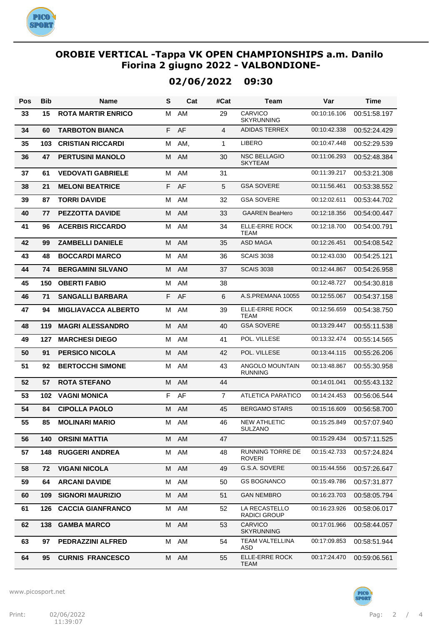

# **02/06/2022 09:30**

| Pos | <b>Bib</b> | Name                       | S  | Cat  | #Cat           | Team                                  | Var          | <b>Time</b>  |
|-----|------------|----------------------------|----|------|----------------|---------------------------------------|--------------|--------------|
| 33  | 15         | <b>ROTA MARTIR ENRICO</b>  | м  | AM   | 29             | CARVICO<br><b>SKYRUNNING</b>          | 00:10:16.106 | 00:51:58.197 |
| 34  | 60         | <b>TARBOTON BIANCA</b>     | F. | AF   | 4              | ADIDAS TERREX                         | 00:10:42.338 | 00:52:24.429 |
| 35  | 103        | <b>CRISTIAN RICCARDI</b>   | м  | AM,  | 1              | <b>LIBERO</b>                         | 00:10:47.448 | 00:52:29.539 |
| 36  | 47         | <b>PERTUSINI MANOLO</b>    | м  | AM   | 30             | <b>NSC BELLAGIO</b><br><b>SKYTEAM</b> | 00:11:06.293 | 00:52:48.384 |
| 37  | 61         | <b>VEDOVATI GABRIELE</b>   | М  | AM   | 31             |                                       | 00:11:39.217 | 00:53:21.308 |
| 38  | 21         | <b>MELONI BEATRICE</b>     | F. | AF   | 5              | <b>GSA SOVERE</b>                     | 00:11:56.461 | 00:53:38.552 |
| 39  | 87         | <b>TORRI DAVIDE</b>        | M  | AM   | 32             | <b>GSA SOVERE</b>                     | 00:12:02.611 | 00:53:44.702 |
| 40  | 77         | <b>PEZZOTTA DAVIDE</b>     | M  | AM   | 33             | <b>GAAREN BeaHero</b>                 | 00:12:18.356 | 00:54:00.447 |
| 41  | 96         | <b>ACERBIS RICCARDO</b>    | M  | AM   | 34             | ELLE-ERRE ROCK<br><b>TEAM</b>         | 00:12:18.700 | 00:54:00.791 |
| 42  | 99         | <b>ZAMBELLI DANIELE</b>    | М  | AM   | 35             | <b>ASD MAGA</b>                       | 00:12:26.451 | 00:54:08.542 |
| 43  | 48         | <b>BOCCARDI MARCO</b>      | м  | AM   | 36             | <b>SCAIS 3038</b>                     | 00:12:43.030 | 00:54:25.121 |
| 44  | 74         | <b>BERGAMINI SILVANO</b>   | М  | AM   | 37             | <b>SCAIS 3038</b>                     | 00:12:44.867 | 00:54:26.958 |
| 45  | 150        | <b>OBERTI FABIO</b>        | м  | AM   | 38             |                                       | 00:12:48.727 | 00:54:30.818 |
| 46  | 71         | <b>SANGALLI BARBARA</b>    |    | F AF | 6              | A.S.PREMANA 10055                     | 00:12:55.067 | 00:54:37.158 |
| 47  | 94         | <b>MIGLIAVACCA ALBERTO</b> | м  | AM   | 39             | <b>ELLE-ERRE ROCK</b><br><b>TEAM</b>  | 00:12:56.659 | 00:54:38.750 |
| 48  | 119        | <b>MAGRI ALESSANDRO</b>    | М  | AM   | 40             | <b>GSA SOVERE</b>                     | 00:13:29.447 | 00:55:11.538 |
| 49  | 127        | <b>MARCHESI DIEGO</b>      | м  | AM   | 41             | POL. VILLESE                          | 00:13:32.474 | 00:55:14.565 |
| 50  | 91         | <b>PERSICO NICOLA</b>      | м  | AM   | 42             | POL. VILLESE                          | 00:13:44.115 | 00:55:26.206 |
| 51  | 92         | <b>BERTOCCHI SIMONE</b>    | м  | AM   | 43             | ANGOLO MOUNTAIN<br><b>RUNNING</b>     | 00:13:48.867 | 00:55:30.958 |
| 52  | 57         | <b>ROTA STEFANO</b>        | M  | AM   | 44             |                                       | 00:14:01.041 | 00:55:43.132 |
| 53  | 102        | <b>VAGNI MONICA</b>        | F  | AF   | $\overline{7}$ | <b>ATLETICA PARATICO</b>              | 00:14:24.453 | 00:56:06.544 |
| 54  | 84         | <b>CIPOLLA PAOLO</b>       | M  | AM   | 45             | <b>BERGAMO STARS</b>                  | 00:15:16.609 | 00:56:58.700 |
| 55  | 85         | <b>MOLINARI MARIO</b>      | M  | AM   | 46             | <b>NEW ATHLETIC</b><br>SULZANO        | 00:15:25.849 | 00:57:07.940 |
| 56  | 140        | <b>ORSINI MATTIA</b>       |    | M AM | 47             |                                       | 00:15:29.434 | 00:57:11.525 |
| 57  | 148        | <b>RUGGERI ANDREA</b>      | м  | AM   | 48             | RUNNING TORRE DE<br><b>ROVERI</b>     | 00:15:42.733 | 00:57:24.824 |
| 58  | 72         | <b>VIGANI NICOLA</b>       |    | M AM | 49             | G.S.A. SOVERE                         | 00:15:44.556 | 00:57:26.647 |
| 59  | 64         | <b>ARCANI DAVIDE</b>       |    | M AM | 50             | <b>GS BOGNANCO</b>                    | 00:15:49.786 | 00:57:31.877 |
| 60  | 109        | <b>SIGNORI MAURIZIO</b>    |    | M AM | 51             | <b>GAN NEMBRO</b>                     | 00:16:23.703 | 00:58:05.794 |
| 61  | 126        | <b>CACCIA GIANFRANCO</b>   |    | M AM | 52             | LA RECASTELLO<br><b>RADICI GROUP</b>  | 00:16:23.926 | 00:58:06.017 |
| 62  | 138        | <b>GAMBA MARCO</b>         | M  | AM   | 53             | CARVICO<br><b>SKYRUNNING</b>          | 00:17:01.966 | 00:58:44.057 |
| 63  | 97         | <b>PEDRAZZINI ALFRED</b>   | м  | AM   | 54             | <b>TEAM VALTELLINA</b><br>ASD         | 00:17:09.853 | 00:58:51.944 |
| 64  | 95         | <b>CURNIS FRANCESCO</b>    |    | M AM | 55             | ELLE-ERRE ROCK<br><b>TEAM</b>         | 00:17:24.470 | 00:59:06.561 |

www.picosport.net

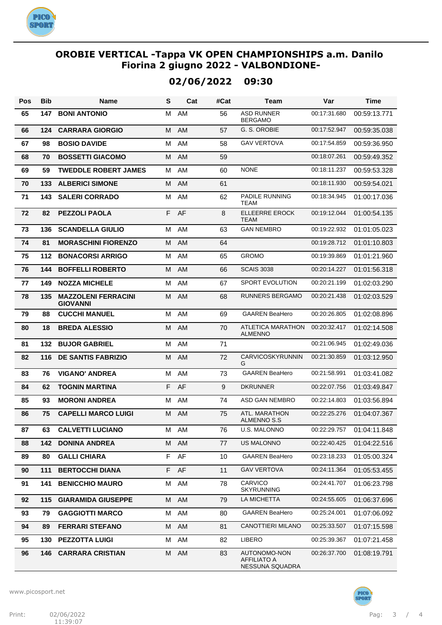

# **02/06/2022 09:30**

| Pos | <b>Bib</b> | Name                                          | S  | Cat  | #Cat | Team                                                  | Var          | Time         |
|-----|------------|-----------------------------------------------|----|------|------|-------------------------------------------------------|--------------|--------------|
| 65  | 147        | <b>BONI ANTONIO</b>                           | м  | AM   | 56   | <b>ASD RUNNER</b><br><b>BERGAMO</b>                   | 00:17:31.680 | 00:59:13.771 |
| 66  | 124        | <b>CARRARA GIORGIO</b>                        | M  | AM   | 57   | G. S. OROBIE                                          | 00:17:52.947 | 00:59:35.038 |
| 67  | 98         | <b>BOSIO DAVIDE</b>                           | м  | AM   | 58   | <b>GAV VERTOVA</b>                                    | 00:17:54.859 | 00:59:36.950 |
| 68  | 70         | <b>BOSSETTI GIACOMO</b>                       | M  | AM   | 59   |                                                       | 00:18:07.261 | 00:59:49.352 |
| 69  | 59         | <b>TWEDDLE ROBERT JAMES</b>                   | м  | AM   | 60   | <b>NONE</b>                                           | 00:18:11.237 | 00:59:53.328 |
| 70  | 133        | <b>ALBERICI SIMONE</b>                        | м  | AM   | 61   |                                                       | 00:18:11.930 | 00:59:54.021 |
| 71  | 143        | <b>SALERI CORRADO</b>                         | м  | AM   | 62   | PADILE RUNNING<br><b>TEAM</b>                         | 00:18:34.945 | 01:00:17.036 |
| 72  | 82         | <b>PEZZOLI PAOLA</b>                          | F. | AF   | 8    | <b>ELLEERRE EROCK</b><br><b>TEAM</b>                  | 00:19:12.044 | 01:00:54.135 |
| 73  | 136        | <b>SCANDELLA GIULIO</b>                       | M  | AM   | 63   | <b>GAN NEMBRO</b>                                     | 00:19:22.932 | 01:01:05.023 |
| 74  | 81         | <b>MORASCHINI FIORENZO</b>                    | м  | AM   | 64   |                                                       | 00:19:28.712 | 01:01:10.803 |
| 75  | 112        | <b>BONACORSI ARRIGO</b>                       | М  | AM   | 65   | <b>GROMO</b>                                          | 00:19:39.869 | 01:01:21.960 |
| 76  | 144        | <b>BOFFELLI ROBERTO</b>                       | м  | AM   | 66   | <b>SCAIS 3038</b>                                     | 00:20:14.227 | 01:01:56.318 |
| 77  | 149        | <b>NOZZA MICHELE</b>                          | M  | AM   | 67   | <b>SPORT EVOLUTION</b>                                | 00:20:21.199 | 01:02:03.290 |
| 78  | 135        | <b>MAZZOLENI FERRACINI</b><br><b>GIOVANNI</b> | M  | AM   | 68   | <b>RUNNERS BERGAMO</b>                                | 00:20:21.438 | 01:02:03.529 |
| 79  | 88         | <b>CUCCHI MANUEL</b>                          | M  | AM   | 69   | <b>GAAREN BeaHero</b>                                 | 00:20:26.805 | 01:02:08.896 |
| 80  | 18         | <b>BREDA ALESSIO</b>                          | M  | AM   | 70   | <b>ATLETICA MARATHON</b><br><b>ALMENNO</b>            | 00:20:32.417 | 01:02:14.508 |
| 81  | 132        | <b>BUJOR GABRIEL</b>                          | M  | AM   | 71   |                                                       | 00:21:06.945 | 01:02:49.036 |
| 82  | 116        | <b>DE SANTIS FABRIZIO</b>                     | м  | AM   | 72   | <b>CARVICOSKYRUNNIN</b><br>G                          | 00:21:30.859 | 01:03:12.950 |
| 83  | 76         | <b>VIGANO' ANDREA</b>                         | М  | AM   | 73   | <b>GAAREN BeaHero</b>                                 | 00:21:58.991 | 01:03:41.082 |
| 84  | 62         | <b>TOGNIN MARTINA</b>                         | F. | AF   | 9    | <b>DKRUNNER</b>                                       | 00:22:07.756 | 01:03:49.847 |
| 85  | 93         | <b>MORONI ANDREA</b>                          | M  | AM   | 74   | ASD GAN NEMBRO                                        | 00:22:14.803 | 01:03:56.894 |
| 86  | 75         | <b>CAPELLI MARCO LUIGI</b>                    | M  | AM   | 75   | ATL. MARATHON<br><b>ALMENNO S.S</b>                   | 00:22:25.276 | 01:04:07.367 |
| 87  | 63         | <b>CALVETTI LUCIANO</b>                       |    | M AM | 76   | U.S. MALONNO                                          | 00:22:29.757 | 01:04:11.848 |
| 88  | 142        | <b>DONINA ANDREA</b>                          |    | M AM | 77   | <b>US MALONNO</b>                                     | 00:22:40.425 | 01:04:22.516 |
| 89  | 80         | <b>GALLI CHIARA</b>                           |    | F AF | 10   | <b>GAAREN BeaHero</b>                                 | 00:23:18.233 | 01:05:00.324 |
| 90  | 111        | <b>BERTOCCHI DIANA</b>                        |    | F AF | 11   | <b>GAV VERTOVA</b>                                    | 00:24:11.364 | 01:05:53.455 |
| 91  | 141        | <b>BENICCHIO MAURO</b>                        | м  | AM   | 78   | <b>CARVICO</b><br><b>SKYRUNNING</b>                   | 00:24:41.707 | 01:06:23.798 |
| 92  | 115        | <b>GIARAMIDA GIUSEPPE</b>                     |    | M AM | 79   | LA MICHETTA                                           | 00:24:55.605 | 01:06:37.696 |
| 93  | 79         | <b>GAGGIOTTI MARCO</b>                        | м  | AM   | 80   | <b>GAAREN BeaHero</b>                                 | 00:25:24.001 | 01:07:06.092 |
| 94  | 89         | <b>FERRARI STEFANO</b>                        | M  | AM   | 81   | CANOTTIERI MILANO                                     | 00:25:33.507 | 01:07:15.598 |
| 95  | 130        | <b>PEZZOTTA LUIGI</b>                         | м  | AM   | 82   | <b>LIBERO</b>                                         | 00:25:39.367 | 01:07:21.458 |
| 96  | 146        | <b>CARRARA CRISTIAN</b>                       | М  | AM   | 83   | AUTONOMO-NON<br><b>AFFILIATO A</b><br>NESSUNA SQUADRA | 00:26:37.700 | 01:08:19.791 |

www.picosport.net